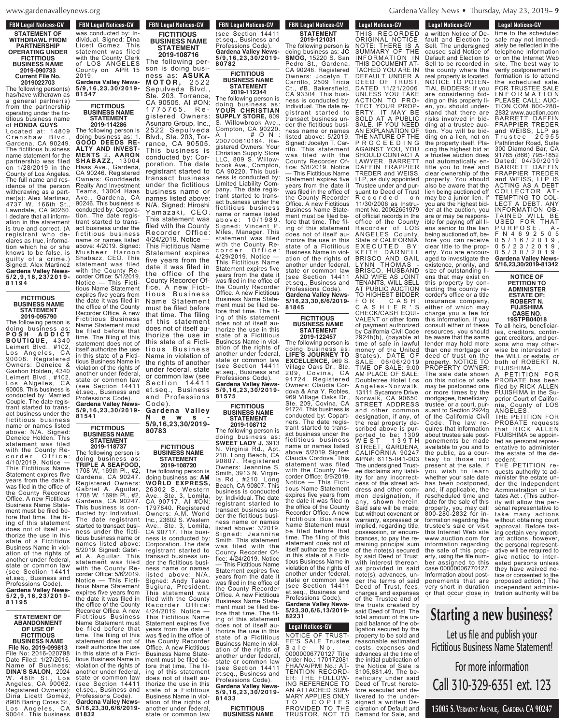## **FBN Legal Notices-GV STATEMENT OF WITHDRAWL FROM PARTNERSHIP OPERATING UNDER FICTITIOUS BUSINESS NAME 2019-090733 Current File No. 2019022703** The following person(s)

has/have withdrawn as a general partner(s) from the partnership operating under the fictitious business name of **HONDA GUYS**

Located at: 14809 Crenshaw Blvd., Gardena, CA 90249. The fictitious business name statement for the partnership was filed on 1/28/2019 in the County of Los Angeles. The full name and residence of the person withdrawing as a partner(s): Alex Martinez, 4737 W. 166th St., Lawndale, CA 90260. I declare that all information in the statement is true and correct. (A registrant who declares as true, information which he or she knows to be false, is guilty of a crime.) Signed: Alex Martinez **Gardena Valley News-5 / 2 , 9 , 1 6 , 2 3 / 2 0 1 9 - 8 1 1 9 4**

# **FICTITIOUS BUSINESS NAME STATEMENT 2019-095790**

The following person is doing business as: **P O S H A D D I C T B O U T I Q U E,** 4 3 4 0 Leimert Blvd., #102, Los Angeles, CA 90008. Registered Owners: Deneice & Gashon Holden, 4340 Leimert Blvd., #102,<br>Los ANgeles, CA A N geles, CA 90008. This business is conducted by: Married Couple. The date registrant started to transact business under the fictitious business name or names listed above: N/A. Signed: Deneice Holden. This statement was filed with the County Recorder Office: 4/10/2019. Notice — This Fictitious Name Statement expires five years from the date it was filed in the office of County Recorder Office. A new Fictitious Business Name Statement must be filed before that time. The filing of this statement does not of itself authorize the use in this state of a Fictitious Business Name in violation of the rights of another under federal, state or common law (see Section 14411 et.seq., Business and Professions Code). **Gardena Valley News-5 / 2 , 9 , 1 6 , 2 3 / 2 0 1 9 - 8 1 1 9 5**

## **STATEMENT OF ABANDONMENT OF USE OF FICTITIOUS BUSINESS NAME File No. 2019-099813** File No: 2016-020798 Date Filed: 1/27/2016. Name of Business: **DINA'S SALON,** 2024 W. 48th St., Los Angeles, CA 90062. Registered Owner(s): Dina Licett Gomez, 8908 Baring Cross St., Los Angeles, CA

90044. This business<br>. **81832**

**FBN Legal Notices-GV Propriet Business Format Control Control Control Control Control Control Control Control Control Control Control Control Control Control Control Control Control Control Control Control Control Control Control Control Cont** was conducted by: Individual. Signed: Dina Licett Gomez. This statement was filed with the County Clerk of LOS ANGELES County on APR 15 2019. **Gardena Valley News-5/9,16,23,30/2019- 81547**

## **FICTITIOUS BUSINESS NAME STATEMENT 2019-114286**

The following person is<br>doing business as: 1 doing business as: 1. **GOOD DEEDS RE-ALTY AND INVEST-MENTS** 2**. AARON S H A B A Z Z ,** 1 3 0 0 4 Haas Ave., Gardena, CA 90246. Registered Owners: Gooddeeds Realty And Investment Teams, 13004 Haas<br>Ave., Gardena, CA Ave., Gardena, CA 90246. This business is conducted by: Corporation. The date registrant started to transact business under the fictitious business name or names listed above: 4/2019. Signed: Musheer Haroon Shabazz, CEO. This statement was filed<br>with the County Rewith the County corder Office: 5/1/2019. Notice — This Fictitious Name Statement expires five years from the date it was filed in the office of the County Recorder Office. A new Fictitious Business Name Statement must be filed before that time. The filing of this statement does not of itself authorize the use in this state of a Fictitious Business Name in violation of the rights of another under federal, state or common law (see Section 14411 et.seq., Business and Professions Code). **Gardena Valley News-5/9,16,23,30/2019-** Asunaro Group, Inc., 2522 Sepul veda Blvd., Ste. 203, Torrance, CA 90505. This business is conducted by: Corporation. The date registrant started to transact business under the fictitious business name or names listed above: N/A. Signed: Hiroshi Yamažaki, CEO. This statement was filed with the County Recorder Office: 4/24/2019. Notice — This Fictitious Name Statement expires five years from the date it was filed in the office of the County Recorder Office. A new Fictitious Business Name Statement must be filed before that time. The filing of this statement does not of itself authorize the use in this state of a Fictitious Business Name in violation of the rights of another under federal, state or common law (see Section 14411 et.seq., Business and Professions Code). **Gardena Valley**

**81541 FICTITIOUS BUSINESS NAME STATEMENT 2019-118737**

The following person is

doing business as: **TRIPLE A SEAFOOD,** 1708 W, 169th Pl., #2, Gardena, CA 90247. Registered Owners: Gabriel A. Aguilar, 1708 W. 169th Pl., #2, Gardena, CA 90247. This business is conducted by: Individual. The date registrant started to transact business under the fictitious business name or names listed above: 5/2019. Signed: Gabriel A. Aguilar. This statement was filed with the County Recorder Office: 5/6/2019. Notice — This Fictitious Name Statement expires five years from the date it was filed in the office of the County Recorder Office. A new Fictitious Business Name Statement must be filed before that time. The filing of this statement does not of itself authorize the use in this state of a Fictitious Business Name in violation of the rights of another under federal,<br>state or common law (see Section 14411 et.seg., Business and Professions Code). **Gardena Valley News-5/16,23,30,6/6/2019** fore that time. The fildoes not of itself austate of a Fictitious Business Name in violation of the rights of<br>another under federal.

The following per-**FBN Legal Notices-GV** rbiv Leyal Nutles-dv (see Section 14411<br>et.seq., Business and Professions Code). **Gardena Valley News-5/9,16,23,30/2019- 80782**

**FBN Legal Notices-GV FICTITIOUS BUSINESS NAME STATEMENT 2019-108716**

son is doing business as: **ASUKA M O T O R ,** 2 5 2 2 Sepulveda Blvd.,<br>Ste. 203, Torrance, 203, Torrance, CA 90505. AI #ON:<br>1775765. Re- $1775765.$ gistered Owners:

# **FICTITIOUS BUSINESS NAME STATEMENT**

**STATEMENT 2019-121031**

fore that time.

**81845**

**FICTITIOUS**

**STATEMENT 2019-122457**

Claudia Cordova. This statement was filed with the County Recorder Office: 5/9/2019. Notice — This Fictitious Name Statement expires five years from the date it was filed in the office of the County Recorder Office. A new Fictitious Business Name Statement must be filed before time. The filing of this statement does not of itself authorize the use this state of a Ficti tious Business Name in violation of the rights of another under federal, state or common law (see Section 14411 et.seq., Business and Professions Code). **Gardena Valley News-5/23,30,6/6,13/2019-**

**82231**

**Legal Notices-GV** NOTICE OF TRUST-EE'S SALE Trustee Sale No. : 00000006770127 Title Order No.: 170172081 FHA/VA/PMI No.: AT-TENTION RECORD-ER: THE FOLLOW-ING REFERENCE TO AN ATTACHED SUM-MARY APPLIES ONLY T O C O P I E S PROVIDED TO THE TRUSTOR, NOT TO T H IS R E COR D E DE

**2019-112344** The following person is doing business as: **YOUR CHRISTIAN SUPPLY STORE,** 809 S. Willowbrook Ave., Compton, CA 90220. A I # O N : 200700610164. Registered Owners: Your Christian Supply Store LLC, 809 S. Willowbrook Ave., Compton, CA 90220. This business is conducted by: Limited Liability Company. The date registrant started to transact business under the fictitious business name or names listed a b o v e : 1 0 / 1 9 8 9 . Signed: Vincent P. Miles, Manager. This statement was filed with the County Recorder Office: 4/29/2019. Notice — This Fictitious Name Statement expires five years from the date it was filed in the office of the County Recorder Office. A new Fictitious Business Name Statement must be filed before that time. The filing of this statement does not of itself authorize the use in this state of a Fictitious Business Name in violation of the rights of another under federal, state or common law (see Section 14411 et.seq., Business and Professions Code). **Gardena Valley News-5/9,16,23,30/2019- 81575**

> **FICTITIOUS BUSINESS NAME STATEMENT 2019-108712**

The following person is doing business as: **SWEET LADY J,** 3913 N. Virginia Rd., Apt. 210. Long Beach, CA 90807. Registered Owners: Jeannine S. Smith, 3913 N. Virginia Rd., #210, Long Beach, CA 90807. This business is conducted by: Individual. The date registrant started to transact business under the fictitious business name or names listed above: 3/2019. Signed: Jeannine Smith. This statement was filed with the

**Gardena Valley News-5/9,16,23,30/2019-**

**Legal Notices-GV** 

Legal Nutles-GV a written Notice of Default and Election to Sell. The undersigned caused said Notice of

 $FBN$  Legal Notices-GV The following person is doing business as: **JC SMOG,** 15220 S. San Pedro St., Gardena, CA 90248. Registered Owners: Jocelyn T. Carrillo, 2509 Tricia Ct., #B, Bakersfield, CA 93304. This business is conducted by: Individual. The date registrant started to transact business under the fictitious business name or names listed above: 5/2019. Signed: Jocelyn T. Carrilo. This statement was filed with the County Recorder Office: 5/8/2019. Notice — This Fictitious Name Statement expires five years from the date it was filed in the office of County Recorder Office. A new Fictitious Business Name Statement must be filed be-<br>fore that time. The filing of this statement does not of itself authorize the use in this state of a Fictitious Business Name in violation of the rights of another under federal, state or common law (see Section 14411 et.seq., Business and Professions Code). **Gardena Valley News-5/16,23,30,6/6/2019- BUSINESS NAME** The following person is doing business as: **LIFE'S JOURNEY TO EXCELLENCE,** 969 S. Village Oaks Dr., Ste. 209, Covina, CA 91724. Registered Owners: Claudia Cordova & Ana Y. Robles, 969 Village Oaks Dr., Ste. 209, Covina, CA 91724. This business is conducted by: Copartners. The date registrant started to transact business under the fictitious business **Legal Notices-GV** Legal Notices-GV RECORDED ORIGINAL NOTICE. NOTE: THERE IS A SUMMARY OF THE INFORMATION IN THIS DOCUMENT AT-TACHED YOU ARE IN DEFAULT UNDER A DEED OF TRUST, DATED 11/21/2006. UNLESS YOU TAKE ACTION TO PRO-TECT YOUR PROP-ERTY, IT MAY BE SOLD AT A PUBLIC SALE. IF YOU NEED AN EXPLANATION OF THE NATURE OF THE P R O C E E D I N G AGAINST YOU, YOU SHOULD CONTACT A LAWYER. BARRETT DAFFIN FRAPPIER TREDER and WEISS LLP, as duly appointed Trustee under and pursuant to Deed of Trust R e c o r d e d o n 11/30/2006 as Instrument No. 20062651979 of official records in the office of the Recorder of LOS ANGELES County, State of CALIFORNIA. E X E C U T E D KEITH DARNELL BRISCO AND GAIL LYNN THOMAS BRISCO, HUSBAND AND WIFE AS JOINT TENANTS, WILL SELL AT PUBLIC AUCTION TO HIGHEST BIDDER<br>F O R C A S H F O R C A S H , C A S H I E R ' S CHECK/CASH EQUI-VALENT or other form of payment authorized

by California Civil Code 2924h(b), (payable at time of sale in lawful money of the United States). DATE OF SALE: 06/06/201 9 TIME OF SALE: 9:00 AM PLACE OF SALE: Doubletree Hotel Los Angeles-Norwalk, 13111 Sycamore Drive, Norwalk, CA 90650. STREET ADDRESS and other common designation, if any, of the real property described above is purported to be: 1309 W E S T 1 3 9 T H STREET, GARDENA, CALIFORNIA 90247 APN#: 6115-041-003 The undersigned Trustee disclaims any liability for any incorrectness of the street address and other common designation, if any, shown herein. Said sale will be made, but without covenant or warranty, expressed or implied, regarding title, possession, or encumbrances, to pay the remaining principal sum of the note(s) secured by said Deed of Trust, with interest thereon as provided in said note(s), advances, under the terms of said Deed of Trust, fees, charges and expenses of the Trustee and of the trusts created by said Deed of Trust. The total amount of the unpaid balance of the obligation secured by the property to be sold and reasonable estimated costs, expenses and advances at the time of the initial publication of the Notice of Sale is

Deed of Trust heretofore executed and delivered to the undersigned a written Declaration of Default and Demand for Sale, and

\$105,881.49. The beneficiary under said Default and Election Sell to be recorded in the county where the real property is located. NOTICE TO POTEN-TIAL BIDDERS: If you are considering bidding on this property lien, you should understand that there are risks involved in bidding at a trustee auction. You will be bidding on a lien, not on the property itself. Placing the highest bid at a trustee auction does not automatically entitle you to free and clear ownership of the property. You should also be aware that the lien being auctioned off may be a junior lien. If you are the highest bidder at the auction, you are or may be responsible for paying off all liens senior to the lien being auctioned off, before you can receive clear title to the property. You are encouraged to investigate the existence, priority, and size of outstanding liens that may exist on this property by contacting the county recorder's office or a title insurance company, either of which may charge you a fee for this information. If you consult either of these resources, you should be aware that the same lender may hold more than one mortgage or deed of trust on the property. NOTICE TO PROPERTY OWNER: The sale date shown on this notice of sale may be postponed one or more times by the mortgagee, beneficiary, trustee, or a court, pursuant to Section 2924g of the California Civil Code. The law requires that information about trustee sale postponements be made available to you and to the public, as a courtesy to those not present at the sale. If .<br>you wish to learn whether your sale date has been postponed, and, if applicable, the rescheduled time and date for the sale of this property, you may call 800-280-2832 for information regarding the trustee's sale or visit this Internet Web site www.auction.com for information regarding the sale of this property, using the file number assigned to this case 00000006770127. Information about postponements that are very short in duration or that occur close in

**Legal Notices-GV Legal Nutries-GV** time to the scheduled sale may not immediately be reflected in the telephone information or on the Internet Web site. The best way to verify postponement information is to attend the scheduled sale. FOR TRUSTEE SALE I N F O R M A T I O N PLEASE CALL: AUC-TION.COM 800-280- 2832 www.auction.com BARRETT DAFFIN FRAPPIER TREDER **EXAPPIEN INLULATE**<br>and WEISS, LLP as<br>Trustee 20955 Trustee 20955 Pathfinder Road, Suite 300 Diamond Bar, CA 91765 (866) 795-1852 Dated: 04/30/2019 BARRETT DAFFIN FRAPPIER TREDER and WEISS, LLP IS ACTING AS A DEBT COLLECTOR AT-TEMPTING TO COL-LECT A DEBT. ANY INFORMATION OB-TAINED WILL BE USED FOR THAT P U R P O S E . A - F N 4 6 9 2 5 0 5 0 5 / 1 6 / 2 0 1 9 , 0 5 / 2 3 / 2 0 1 9 , 0 5 / 3 0 / 2 0 1 9 **Gardena Valley News-5/16,23,30/2019-81342**

> **NOTICE OF PETITION TO ADMINISTER ESTATE OF: ROBERT N. FUJISHIMA CASE NO. 19STPB04018**

To all heirs, beneficiaries, creditors, contingent creditors, and persons who may otherwise be interested in the WILL or estate, or both of ROBERT N.

FUJISHIMA. A PETITION FOR PROBATE has been filed by RICK ALLEN FUJISHIMA in the Superior Court of California, County of LOS

ANGELES. THE PETITION FOR PROBATE requests that RICK ALLEN FUJISHIMA be appointed as personal representative to administer the estate of the decedent.

THE PETITION requests authority to administer the estate under the Independent Administration of Estates Act . (This authority will allow the personal representative to take many actions without obtaining court approval. Before tak-ing certain very import-ant actions, however, the personal representative will be required to give notice to interested persons unless they have waived notice or consented to the proposed action.) The independent administration authority will be

**Starting a new business?** Let us file and publish your Fictitious Business Name Statement! For more information Call 310-329-6351 ext. 123 **15005 S. Vermont Avenue, Gardena CA 90247** sale may not immedi-**Starting and** - Jialulig a II or on the Internet Web Let us file and publish your formation is to attend **Fictitious Business Name Statement!** I N F O R M A T I O N **PLACE CALC:** And the Place Calculation and the Place Calculation and the Place Calculation and the Place Calculation and the Place Calculation and the Place Calculation and the Place Ca  $T_{\text{S}}$  $\overline{C}$   $\overline{C}$   $\overline{C}$   $\overline{C}$   $\overline{C}$   $\overline{C}$   $\overline{C}$   $\overline{C}$   $\overline{C}$   $\overline{C}$   $\overline{C}$   $\overline{C}$   $\overline{C}$   $\overline{C}$   $\overline{C}$   $\overline{C}$   $\overline{C}$   $\overline{C}$   $\overline{C}$   $\overline{C}$   $\overline{C}$   $\overline{C}$   $\overline{C}$   $\overline{C}$   $\overline{$  $\Box$ Ball 310-329 **FRAME DID** and WEISS, LLP as a strong strong strong  $T_{\rm eff}$  representative  $T_{\rm eff}$ 15005 S. VERMONT AVENUE. GARDENA CA 90247 granted unless an interested person files an  $w$  hucinose<sup>7</sup> w Dusilicss; publish \ Name Statement! I c o u rt a s f o w s i l o w s i l o 06/03/19 at 8:30AM in tormation at 1111 N. H., Los St., Los St., Los St., Los St., Los St., Los St., Los St., Los St., Los St., Los St., Los St., Los  $\frac{1}{2}$ IS YOU CATE TO STRIKE  $\frac{1}{2}$ granting  $\frac{1}{2}$ you should appear at e, "Gardena CA 90247"  $\mathcal{L}$ 

**BUSINESS NAME STATEMENT 2019-108720** The following person 1797840. Registered Owners: A.M. World Inc., 23602 S. Western<br>Ave., Ste. 3, Lomita, Ave., Ste. 3, Lomita, CA 90717. This business is conducted by: Corporation. The date registrant started to transact business under the fictitious business name or names listed above: N/A. Signed: Andy Takao Sugiura, President. This statement was filed with the County Recorder Office: 4/24/2019. Notice — This Fictitious Name Statement expires five years from the date it was filed in the office of the County Recorder Office. A new Fictitious Business Name Statement must be filed be-

## doing business as: **AM WORLD EXPRESS,** 26302 S. Western Ave., Ste. 3, Lomita, Ave., Ste. 3, Lomita,<br>CA 90717. AI #ON:

**N e w s - 5/9,16,23,30/2019-**

**FICTITIOUS**

state or common law

**80783**

ing of this statement thorize the use in this County Recorder Office: 4/24/2019. Notice — This Fictitious Name Statement expires five years from the date it was filed in the office of the County Recorder Office. A new Fictitious Business Name Statement must be filed before that time. The filing of this statement does not of itself authorize the use in this state of a Fictitious Business Name in violation of the rights of another under federal, state or common law (see Section 14411 et.seq., Business and Professions Code).

> **81433 FICTITIOUS**

**BUSINESS NAME**

name or names listed above: 5/2019. Signed: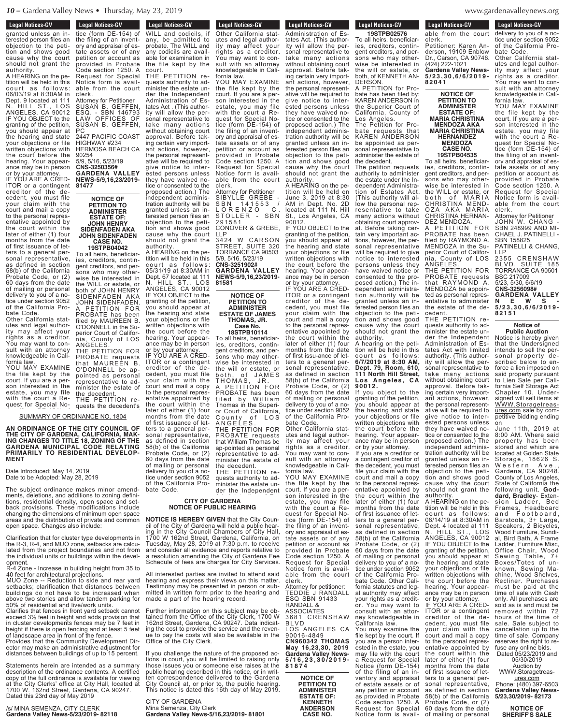## **Legal Notices-GV** Legal Nutles-GV

granted unless an interested person files an objection to the petition and shows good cause why the court should not grant the authority.

A HEARING on the petition will be held in this court as follows: 06/03/19 at 8:30AM in Dept. 9 located at 111 N. HILL ST., LOS ANGELES, CA 90012 IF YOU OBJECT to the granting of the petition, you should appear at the hearing and state your objections or file written objections with the court before the hearing. Your appearance may be in person

or by your attorney. IF YOU ARE A CRED-ITOR or a contingent creditor of the decedent, you must file your claim with the court and mail a copy to the personal representative appointed by the court within the later of either (1) four months from the date of first issuance of letters to a general personal representative, as defined in section 58(b) of the California Probate Code, or (2) 60 days from the date of mailing or personal delivery to you of a notice under section 9052 of the California Probate Code.

Other California statutes and legal authority may affect your rights as a creditor. You may want to consult with an attorney knowledgeable in California law.

YOU MAY EXAMINE the file kept by the court. If you are a person interested in the estate, you may file with the court a Request for Special No-

## SUMMARY OF ORDINANCE NO. 1804 <u>SUMMARY OF ORDINANCE NO. 1804</u>

**AN ORDINANCE OF THE CITY COUNCIL OF** probate. The WILL and ory and appraisal of es-**THE CITY OF GARDENA, CALIFORNIA, MAK-ING CHANGES TO TITLE 18, ZONING OF THE GARDENA MUNICIPAL CODE RELATING PRIMARILY TO RESIDENTIAL DEVELOP-**<br>MENT **MENT** IE CITY COUNCIL OF a, CALIFORNIA, MAK-<br>E 10. ZONINO OF TUF the file file<br>the filter in the file an ORDINANCE OF <sup>-</sup> THE CITY OF GARDEI ING CHANGES TO TIT

Date Introduced: May 14, 2019 Date to be Adopted: May 28, 2019 minister the estate un-2019<br>20.0010 28, 2019 Date li Date to be Adopted: M

The subject ordinance makes minor amend-The subject ordinance makes minor amend-<br>ments, deletions, and additions to zoning definitions, residential density, open space and setback provisions. These modifications include changing the dimensions of minimum open space areas and the distribution of private and common open space. Changes also include: ments, deletions, and additions to zoning defini-The subject ordinanc

Clarification that for cluster type developments in the R-3, R-4, and MUO zone, setbacks are calculated from the project boundaries and not from the individual units or buildings within the development. iaings within the develtice or constant for the OF the Clarification that f **opmer** 

R-4 Zone - Increase in building height from 35 to 40 feet for architectural projections. 40 feet for architectural projections.<br>MUO Zone -- Reduction to side and rear yard  $\frac{1}{2}$  proposed action.  $\frac{1}{2}$  and  $\frac{1}{2}$  and  $\frac{1}{2}$  are  $\frac{1}{2}$  and  $\frac{1}{2}$  are  $\frac{1}{2}$  are  $\frac{1}{2}$  and  $\frac{1}{2}$  are  $\frac{1}{2}$  are  $\frac{1}{2}$  are  $\frac{1}{2}$  are  $\frac{1}{2}$  are  $\frac{1}{2}$  are  $\frac{1}{2}$  ar

mUO Zone -- Reduction to side and rear yard<br>setbacks; clarification that distances between buildings do not have to be increased when above two stories and allow tandem parking for 50% of residential and live/work units. at distances between

50% or residential and live/work units.<br>Clarifies that fences in front yard setback cannot exceed 3½ feet in height and adds provision that exceed 3½ reet in neight and adds provision that<br>in cluster developments fences may be 7 feet in height if there is open fencing and at least 5 feet of landscape area in front of the fence. nt yard setback cannot ences may icing and at least 5 feet tion the fence.<br>with Development Disc

Provides that the Community Development Director may make an administrative adjustment for distances between buildings of up to 15 percent. unity Development Dir-

Statements herein are intended as a summary Statements nerein are intended as a summary<br>description of the ordinance contents. A certified copy of the full ordinance is available for viewing at the City Clerks' office at City Hall, located at 1700 W. 162nd Street, Gardena, CA 90247. Dated this 23rd day of May 2019 ce contents. A certified is available for viewing at City Hall, located at tardena, CA 90247.<br>...9919  $y$  2019

## /s/ MINA SEMENZA, CITY CLERK /s/ MINA SEMENZA, CH Y CLERK<br>**Gardena Valley News-5/23/2019- 82118** 23/2019- 82118

**Legal Notices-GV** Legal Nutrices-GV WILL and codicils, if any codicils are availcourt. THE PETITION requests authority to administer the estate under the Independent Administration of Es-**Legal Notices-GV** Legal Notices-GV tice (form DE-154) of the filing of an inventory and appraisal of estate assets or of any petition or account as provided in Probate Code section 1250. A Request for Special Notice form is available from the court clerk.

Attorney for Petitioner SUSAN B. GEFFEN, ESQ. - SBN 146793 LAW OFFICES OF SUSAN B. GEFFEN, PC 2447 PACIFIC COAST HIGHWAY #234 HERMOSA BEACH CA 90254 5/9, 5/16, 5/23/19

**CNS-3250356# GARDENA VALLEY NEWS-5/9,16,23/2019- 81477**

**NOTICE OF PETITION TO ADMINISTER ESTATE OF: JOHN HENRY SIDENFADEN AKA JOHN SIDENFADEN CASE NO. 19STPB04042**

A HEARING on the petition will be held in this court as follows: 05/31/19 at 8:30AM in Dept. 67 located at 111 N. HILL ST., LOS ANGELES, CA 90012 IF YOU OBJECT to the granting of the petition, you should appear at the hearing and state your objections or file written objections with the court before the hearing. Your appearor by your attorney. IF YOU ARE A CREDcreditor of the decedent, you must file your claim with the court and mail a copy to the personal representative appointed by the court within the later of either (1) four To all heirs, beneficiaries, creditors, contingent creditors, and persons who may otherwise be interested in the WILL or estate, or both of JOHN HENRY SIDENFADEN AKA JOHN SIDENFADEN. A PETITION FOR PROBATE has been filed by MAUREEN B O'DONNELL in the Superior Court of California, County of LOS ANGELES. THE PETITION FOR PROBATE requests that MAUREEN B. O'DONNELL be appointed as personal representative to administer the estate of the decedent. THE PETITION requests the decedent's

**Legal Notices-GV Leyal Nutlut** Other California statutes and legal authority may affect your rights as a creditor. You may want to consult with an attorney knowledgeable in California law. any, be admitted to probate. The WILL and able for examination in the file kept by the

YOU MAY EXAMINE the file kept by the court. If you are a person interested in the estate, you may file with the court a Request for Special Notice (form DE-154) of the filing of an inventory and appraisal of estate assets or of any petition or account as provided in Probate Code section 1250. A Request for Special Notice form is available from the court clerk. take many actions ested persons unless

tates Act . (This authority will allow the personal representative to

without obtaining court approval. Before taking certain very important actions, however, the personal representative will be required to give notice to inter-

they have waived notice or consented to the proposed action.) The independent administration authority will be granted unless an interested person files an objection to the petition and shows good cause why the court should not grant the

authority.

bate Code.

Attorney for Petitioner SIBYLLE GREBE - S B N 1 4 1 5 5 3 / L O R E N Z O C . STOLLER - SBN 2 9 1 5 8 1 CONOVER & GREBE, LLP<br>3424

W CARSON STREET, SUITE 320 TORRANCE CA 90503 5/9, 5/16, 5/23/19 **CNS-3251902# GARDENA VALLEY**

**NEWS-5/9,16,23/2019- 81581**

> **NOTICE OF PETITION TO ADMINISTER ESTATE OF JAMES THOMAS, JR. Case No.**

# **18STPB10114**

To all heirs, beneficiaries, creditors, contingent creditors, and persons who may otherwise be interested in the will or estate, or both, of JAMES THOMAS, JR. PETITION FOR PROBATE has been filed by William Thomas in the Superior Court of California, County of LOS A N G E L E S . THE PETITION FOR PROBATE requests that William Thomas be ap-pointed as personal representative to administer the estate of the decedent. THE PETITION requests authority to administer the estate unance may be in person ITOR or a contingent months from the date of first issuance of letters to a general personal representative, as defined in section 58(b) of the California Probate Code, or (2) 60 days from the date of mailing or personal delivery to you of a notice under section 9052 of the California Pro-

**CITY OF GARDENA** der the Independent

#### **NOTICE OF PUBLIC HEARING**<br>NOTICE OF PUBLIC HEARING **ILIC HEARING** utes and legal author-**NOTICE OF PU**

**NOTICE IS HEREBY GIVEN that the City Coun**cil of the City of Gardena will hold a public hear-ing in the City Council Chambers of City Hall, 1700 W 162nd Street, Gardena, California, on Tuesday, May 28, 2019 at 7:30 p.m. to receive and consider all evidence and reports relative to and consider all evidence and reports relative to<br>a resolution amending the City of Gardena Fee Schedule of fees are charges for City Services. **EN** that the City Coun-<br>will hold a public hear-<br>Chambers of City Hall, iardena, California, on at  $7.30$  p.m. to receive ie City of Gardena Fee NOTICE IS HEREBY G cil of the City of Garder<br>ing in the City Counci<br>1700 W 162nd Street, Tuesday, May 28, 201 and consider all eviden a resolution amending estate, you may file

All interested parties are invited to attend said hearing and express their views on this matter. Testimony may be presented in person or submitted in written form prior to the hearing and made a part of the hearing record. i invited to attend said ir views on this matter. nted in person or subior to the hearing and All interested parties a Testimony may be pre mitted in written form

Further information on this subject may be obtained from the Office of the City Clerk, 1700 W 162nd Street, Gardena, CA 90247. Data indicating the cost to provide the service and the revenue to pay the costs will also be available in the Office of the City Clerk. granted unless an iniis subject may be ob-<br>the City Clerk, 1700 W<br>CA 90247. Data indicate service and the reventate assets or of any Further information on tained from the Office  $\epsilon$ 162nd Street, Gardena<br>ing the cost to provide t

If you challenge the nature of the proposed actions in court, you will be limited to raising only those issues you or someone else raises at the public hearing described in this notice, or in written correspondence delivered to the Gardena City Council at, or prior to, the public hearing. This notice is dated this 16th day of May 2019. re of the proposed acclerk. If you challenge the  $\overline{\ }$ 

CITY OF GARDENA Mina Semenza, City Clerk **Gardena Valley News-5/16,23/2019- 81801** the hearing and state Gardena Valley News-5/16,23/2019- 81801 CITY OF GARDENA

**Legal Notices-GV ANDERSON NOLICES-CIV** 

# **19STPB02576**

To all heirs, beneficiaries, creditors, contingent creditors, and persons who may otherwise be interested in the will or estate, or both, of KENNETH AN-**DERSON** A PETITION for Probate has been filed by:

California, County of Los Angeles. The Petition for Pro-<br>bate requests that bate requests that KAREN ANDERSON be appointed as personal representative to administer the estate of

The petition requests authority to administer the estate under the Independent Administration of Estates Act. (This authority will allow the personal representative to take many actions without obtaining court approval. Before taking certain very important actions, however, the personal representative will be required to give notice to interested persons unless they have waived notice or consented to the proposed action.) The independent administration authority will be granted unless an interested person files an objection to the petition and shows good cause why the court should not grant the authority.

A hearing on the petition will be held in this court as follows: **6/7/2019 at 8:30 AM, Dept. 79, Room, 610, 111 North Hill Street, Los Angeles, CA 90012.** If you object to the

granting of the petition, you should appear at the hearing and state your objections or file written objections with the court before the hearing. Your appearance may be in person or by your attorney.

If you are a creditor or a contingent creditor of the decedent, you must file your claim with the court and mail a copy to the personal representative appointed by the court within the later of either (1) four months from the date of first issuance of letters to a general personal representative, as defined in section 58(b) of the California Probate Code, or (2) 60 days from the date of mailing or personal delivery to you of a notice under section 9052 of the California Pro bate Code. Other California statutes and legal authority may affect your rights as a creditor. You may want to consult with an attorney knowledgeable in California law.

You may examine the file kept by the court. If you are a person interested in the estate, you may file with the court a Request for Special Notice (form DE-154) of the filing of an inventory and appraisal of estate assets or of any petition or account as provided in Probate Code section 1250. A Request for Special Notice form is avail-

denavalleynews.org www.gardenavalleynews.org continuity in the section of the section of the section of the section  $\mathcal{L}$ 

bate Code.

fornia law.

clerk.

LLP

SBN 158825 PATINELLI & CHANG,

BSC 217009 5/23, 5/30, 6/6/19 **CNS-3256098# GARDENA VALLEY N E W S - 5 / 2 3 , 3 0 , 6 / 6 / 2 0 1 9 -**

**8 2 1 5 1**

on

Attorney for Petitioner JOHN W. CHANG - SBN 248999 AND MI-CHAEL J. PATINELLI -

2355 CRENSHAW BLVD. SUITE 185 TORRANCE CA 90501

**Notice of Public Auction** Notice is hereby given that the Undersigned intends to sell the personal property described below to enforce a lien imposed on said property pursuant to Lien Sale per California Self Storage Act Chapter 10. Undersigned will sell items at WWW.Storagetreasures.com sale by competitive bidding ending

June 11th, 2019 at 8:00 AM. Where said property has been stored and which are

tice under section 9052

Other California statutes and legal authority may affect your rights as a creditor. You may want to consult with an attorney knowledgeable in Cali-

YOU MAY EXAMINE the file kept by the court. If you are a person interested in the estate, you may file with the court a Request for Special Notice (form DE-154) of the filing of an inventory and appraisal of estate assets or of any petition or account as provided in Probate Code section 1250. A Request for Special Notice form is available from the court

**60 Legal Notices-GV Legal Nutries-GV** delivery to you of a no-**Legal Notices-GV** Legal Notices-GV able from the court

of the California Proclerk. Petitioner: Karen Anderson, 19109 Enblow Dr., Carson, CA 90746. (424) 222-1021 **Gardena Valley News-5 / 2 3 , 3 0 , 6 / 6 / 2 0 1 9 -**

**8 2 0 4 1 NOTICE OF PETITION TO ADMINISTER ESTATE OF: MARIA CHRISTINA MENDOZA AKA MARIA CHRISTINA HERNANDEZ MENDOZA**

**CASE NO. 19STPB04535** To all heirs, beneficiar-

ies, creditors, contingent creditors, and persons who may otherwise be interested in the WILL or estate, or both of MARIA CHRISTINA MEND-OZA AKA MARIA CHRISTINA HERNAN-

DEZ MENDOZA. A PETITION FOR PROBATE has been filed by RAYMOND A. MENDOZA in the Superior Court of California, County of LOS ANGELES.<br>THE PETIT PETITION FOR PROBATE requests that RAYMOND A. MENDOZA be appointed as personal representative to administer

the estate of the decedent. THE PETITION requests authority to ad-

minister the estate under the Independent Administration of Estates Act with limited authority. (This authority will allow the personal representative to take many actions without obtaining court approval. Before taking certain very important actions, however, the personal representative will be required to give notice to interested persons unless they have waived notice or consented to the proposed action.) The independent administration authority will be granted unless an interested person files an objection to the petition and shows good cause why the court should not grant the authority.

A HEARING on the petition will be held in this court as follows: 06/14/19 at 8:30AM in Dept. 4 located at 111 N. HILL ST., LOS ANGELES, CA 90012 IF YOU OBJECT to the granting of the petition, you should appear at the hearing and state your objections or file written objections with the court before the hearing. Your appearance may be in person or by your attorney. IF YOU ARE A CRED-

ITOR or a contingent creditor of the decedent, you must file your claim with the court and mail a copy to the personal representative appointed by the court within the later of either (1) four months from the date of first issuance of letters to a general personal representative, as defined in section 58(b) of the California Probate Code, or (2) 60 days from the date of mailing or personal

delivery to you of a no-

located at Golden State Storage, 18626 S. Western Ave., Gardena, CA 90248. County of Los Angeles, State of California the following unit. **Goddard, Bradley**- Extension Ladder, Bed Frames, Headboard and Footboard, Barstools, 3+ Large, Speakers, 2 Bicycles, Wood Furniture, Sundial, Bird Bath, A Frame Ladder, Furniture Misc, Office Chair, Wood Sewing Table, 7+ Boxes/Totes of unknown, Sewing Machine, Wood Shelves, Recliner. Purchases must be paid at the time of sale with Cash only. All purchases are sold as is and must be removed within 72 hours of the time of sale. Sale subject to cancellation up to the time of sale. Company reserves the right to re-

fuse any online bids. Dated 05/23/2019 and  $05/30/2019$ 

Auction by WWW.Storagetreasures.com

Phone: (480) 397-6503 **Gardena Valley News-5/23,30/2019- 82173**

> **NOTICE OF SHERIFF'S SALE**

IF YOU OBJECT to the

IF YOU ARE A CREDdelivery to you of a notice under section 9052 of the California Pro-

bate Code. Other California statutes and legal authority may affect your rights as a creditor. You may want to consult with an attorney knowledgeable in Cali-

fornia law. YOU MAY EXAMINE the file kept by the court. If you are a person interested in the estate, you may file with the court a Request for Special Notice (form DE-154) of the filing of an inventory and appraisal of estate assets or of any petition or account as provided in Probate Code section 1250. A Request for Special Notice form is available from the court

clerk. Attorney for petitioner: TEDDIE J RANDALL ESQ SBN 91433 RANDALL & ASSOCIATES

3681 CRENSHAW **BLVD** LOS ANGELES CA 90016-4849 **CN960342 THOMAS May 16,23,30, 2019 Gardena Valley News-5 / 1 6 , 2 3 , 3 0 / 2 0 1 9 - 8 1 8 7 4**

> **NOTICE OF PETITION TO ADMINISTER ESTATE OF: KENNETH ANDERSON CASE NO.**

KAREN ANDERSON in the Superior Court of the decedent. without obtaining court approval. Before taking certain very important actions, however, the personal representative will be required to give notice to interested persons unless they have waived notice or consented to the proposed action.) The independent administration authority will be granted unless an interested person files an

objection to the petition and shows good cause why the court should not grant the authority. A HEARING on the petition will be held on

**Legal Notices-GV** Legal Nutles-GV Administration of Estates Act. (This authority will allow the personal representative to take many actions

June 3, 2019 at 8:30 AM in Dept. No. 2D located at 111 N. Hill St., Los Angeles, CA 90012.

granting of the petition, you should appear at the hearing and state your objections or file written objections with the court before the hearing. Your appearance may be in person or by your attorney.

ITOR or a contingent creditor of the decedent, you must file your claim with the court and mail a copy to the personal representative appointed by the court within the later of either (1) four months from the date of first issu-ance of letters to a general personal representative, as defined in section 58(b) of the California Probate Code, or (2) 60 days from the date of mailing or personal